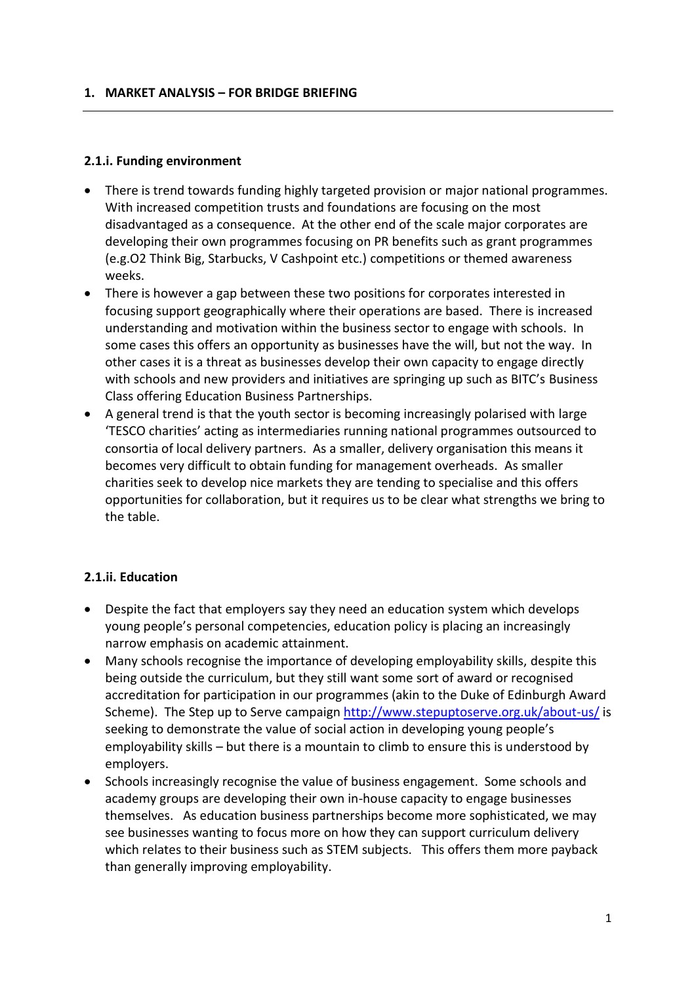#### **2.1.i. Funding environment**

- There is trend towards funding highly targeted provision or major national programmes. With increased competition trusts and foundations are focusing on the most disadvantaged as a consequence. At the other end of the scale major corporates are developing their own programmes focusing on PR benefits such as grant programmes (e.g.O2 Think Big, Starbucks, V Cashpoint etc.) competitions or themed awareness weeks.
- There is however a gap between these two positions for corporates interested in focusing support geographically where their operations are based. There is increased understanding and motivation within the business sector to engage with schools. In some cases this offers an opportunity as businesses have the will, but not the way. In other cases it is a threat as businesses develop their own capacity to engage directly with schools and new providers and initiatives are springing up such as BITC's Business Class offering Education Business Partnerships.
- A general trend is that the youth sector is becoming increasingly polarised with large 'TESCO charities' acting as intermediaries running national programmes outsourced to consortia of local delivery partners. As a smaller, delivery organisation this means it becomes very difficult to obtain funding for management overheads. As smaller charities seek to develop nice markets they are tending to specialise and this offers opportunities for collaboration, but it requires us to be clear what strengths we bring to the table.

### **2.1.ii. Education**

- Despite the fact that employers say they need an education system which develops young people's personal competencies, education policy is placing an increasingly narrow emphasis on academic attainment.
- Many schools recognise the importance of developing employability skills, despite this being outside the curriculum, but they still want some sort of award or recognised accreditation for participation in our programmes (akin to the Duke of Edinburgh Award Scheme). The Step up to Serve campaign<http://www.stepuptoserve.org.uk/about-us/> is seeking to demonstrate the value of social action in developing young people's employability skills – but there is a mountain to climb to ensure this is understood by employers.
- Schools increasingly recognise the value of business engagement. Some schools and academy groups are developing their own in-house capacity to engage businesses themselves. As education business partnerships become more sophisticated, we may see businesses wanting to focus more on how they can support curriculum delivery which relates to their business such as STEM subjects. This offers them more payback than generally improving employability.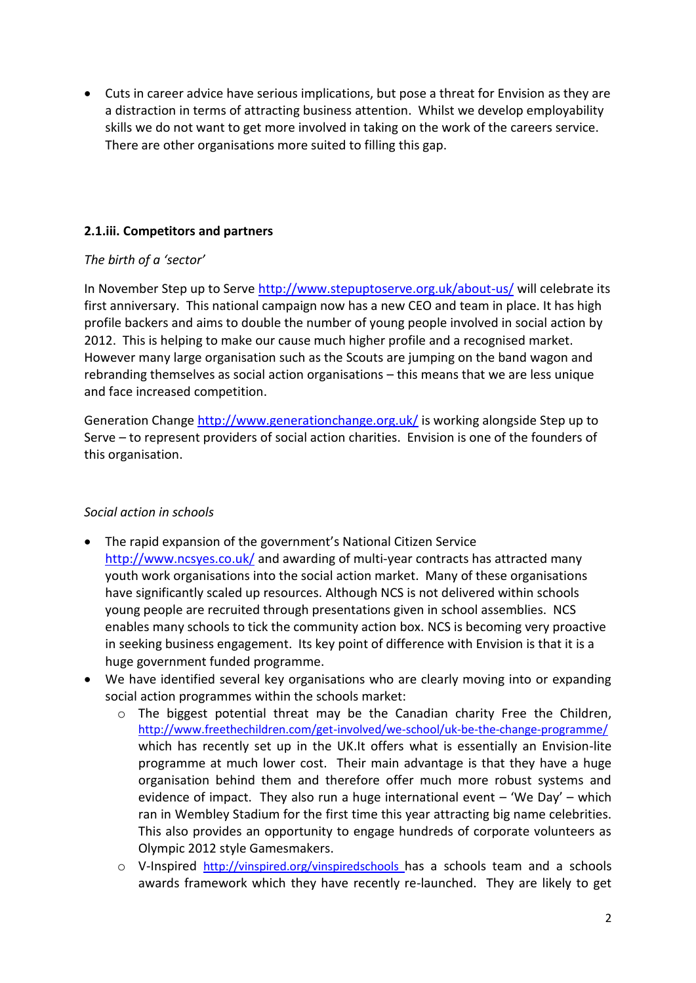Cuts in career advice have serious implications, but pose a threat for Envision as they are a distraction in terms of attracting business attention. Whilst we develop employability skills we do not want to get more involved in taking on the work of the careers service. There are other organisations more suited to filling this gap.

## **2.1.iii. Competitors and partners**

### *The birth of a 'sector'*

In November Step up to Serve<http://www.stepuptoserve.org.uk/about-us/> will celebrate its first anniversary. This national campaign now has a new CEO and team in place. It has high profile backers and aims to double the number of young people involved in social action by 2012. This is helping to make our cause much higher profile and a recognised market. However many large organisation such as the Scouts are jumping on the band wagon and rebranding themselves as social action organisations – this means that we are less unique and face increased competition.

Generation Change<http://www.generationchange.org.uk/> is working alongside Step up to Serve – to represent providers of social action charities. Envision is one of the founders of this organisation.

### *Social action in schools*

- The rapid expansion of the government's National Citizen Service <http://www.ncsyes.co.uk/> and awarding of multi-year contracts has attracted many youth work organisations into the social action market. Many of these organisations have significantly scaled up resources. Although NCS is not delivered within schools young people are recruited through presentations given in school assemblies. NCS enables many schools to tick the community action box. NCS is becoming very proactive in seeking business engagement. Its key point of difference with Envision is that it is a huge government funded programme.
- We have identified several key organisations who are clearly moving into or expanding social action programmes within the schools market:
	- $\circ$  The biggest potential threat may be the Canadian charity Free the Children, <http://www.freethechildren.com/get-involved/we-school/uk-be-the-change-programme/> which has recently set up in the UK.It offers what is essentially an Envision-lite programme at much lower cost. Their main advantage is that they have a huge organisation behind them and therefore offer much more robust systems and evidence of impact. They also run a huge international event  $-$  'We Day'  $-$  which ran in Wembley Stadium for the first time this year attracting big name celebrities. This also provides an opportunity to engage hundreds of corporate volunteers as Olympic 2012 style Gamesmakers.
	- o V-Inspired <http://vinspired.org/vinspiredschools> has a schools team and a schools awards framework which they have recently re-launched. They are likely to get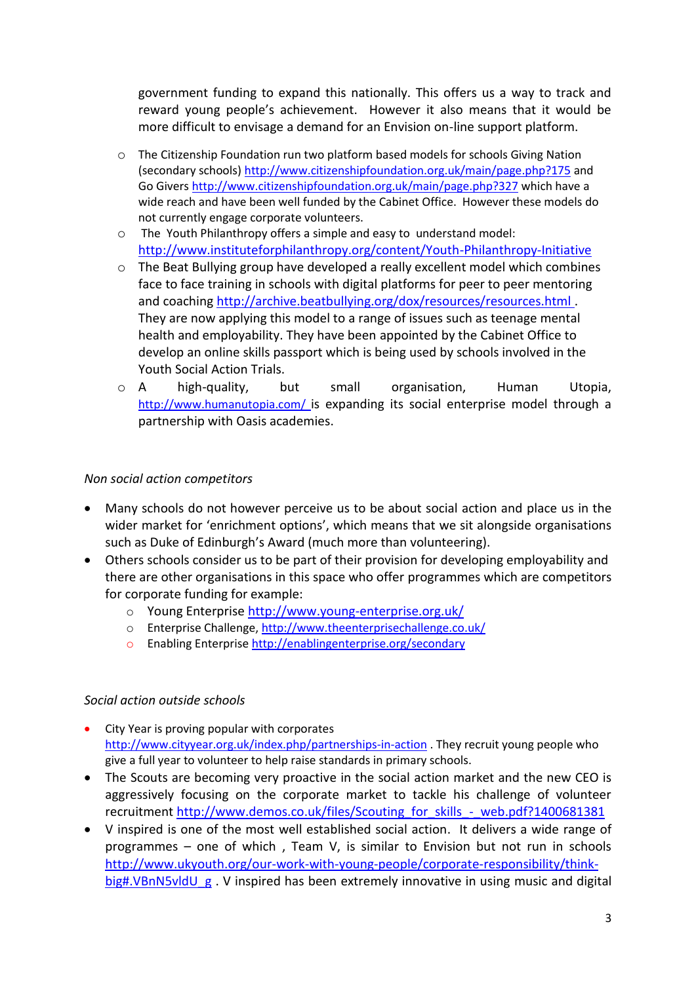government funding to expand this nationally. This offers us a way to track and reward young people's achievement. However it also means that it would be more difficult to envisage a demand for an Envision on-line support platform.

- o The Citizenship Foundation run two platform based models for schools Giving Nation (secondary schools)<http://www.citizenshipfoundation.org.uk/main/page.php?175> and Go Givers<http://www.citizenshipfoundation.org.uk/main/page.php?327> which have a wide reach and have been well funded by the Cabinet Office. However these models do not currently engage corporate volunteers.
- o The Youth Philanthropy offers a simple and easy to understand model: <http://www.instituteforphilanthropy.org/content/Youth-Philanthropy-Initiative>
- o The Beat Bullying group have developed a really excellent model which combines face to face training in schools with digital platforms for peer to peer mentoring and coaching <http://archive.beatbullying.org/dox/resources/resources.html> . They are now applying this model to a range of issues such as teenage mental health and employability. They have been appointed by the Cabinet Office to develop an online skills passport which is being used by schools involved in the Youth Social Action Trials.
- o A high-quality, but small organisation, Human Utopia, <http://www.humanutopia.com/> is expanding its social enterprise model through a partnership with Oasis academies.

### *Non social action competitors*

- Many schools do not however perceive us to be about social action and place us in the wider market for 'enrichment options', which means that we sit alongside organisations such as Duke of Edinburgh's Award (much more than volunteering).
- Others schools consider us to be part of their provision for developing employability and there are other organisations in this space who offer programmes which are competitors for corporate funding for example:
	- o Young Enterprise<http://www.young-enterprise.org.uk/>
	- o Enterprise Challenge[, http://www.theenterprisechallenge.co.uk/](http://www.theenterprisechallenge.co.uk/)
	- o Enabling Enterprise<http://enablingenterprise.org/secondary>

### *Social action outside schools*

- City Year is proving popular with corporates <http://www.cityyear.org.uk/index.php/partnerships-in-action> . They recruit young people who give a full year to volunteer to help raise standards in primary schools.
- The Scouts are becoming very proactive in the social action market and the new CEO is aggressively focusing on the corporate market to tackle his challenge of volunteer recruitment [http://www.demos.co.uk/files/Scouting\\_for\\_skills\\_-\\_web.pdf?1400681381](http://www.demos.co.uk/files/Scouting_for_skills_-_web.pdf?1400681381)
- V inspired is one of the most well established social action. It delivers a wide range of programmes – one of which , Team V, is similar to Envision but not run in schools [http://www.ukyouth.org/our-work-with-young-people/corporate-responsibility/think](http://www.ukyouth.org/our-work-with-young-people/corporate-responsibility/think-big#.VBnN5vldU_g)[big#.VBnN5vldU\\_g](http://www.ukyouth.org/our-work-with-young-people/corporate-responsibility/think-big#.VBnN5vldU_g) . V inspired has been extremely innovative in using music and digital